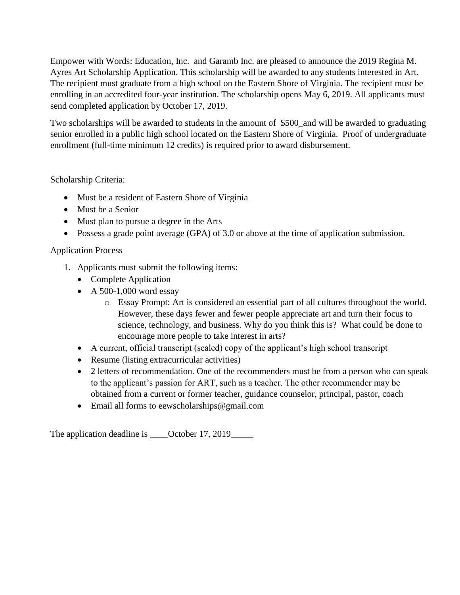Empower with Words: Education, Inc. and Garamb Inc. are pleased to announce the 2019 Regina M. Ayres Art Scholarship Application. This scholarship will be awarded to any students interested in Art. The recipient must graduate from a high school on the Eastern Shore of Virginia. The recipient must be enrolling in an accredited four-year institution. The scholarship opens May 6, 2019. All applicants must send completed application by October 17, 2019.

Two scholarships will be awarded to students in the amount of \$500\_and will be awarded to graduating senior enrolled in a public high school located on the Eastern Shore of Virginia. Proof of undergraduate enrollment (full-time minimum 12 credits) is required prior to award disbursement.

Scholarship Criteria:

- Must be a resident of Eastern Shore of Virginia
- Must be a Senior
- Must plan to pursue a degree in the Arts
- Possess a grade point average (GPA) of 3.0 or above at the time of application submission.

## Application Process

- 1. Applicants must submit the following items:
	- Complete Application
	- $\bullet$  A 500-1,000 word essay
		- o Essay Prompt: Art is considered an essential part of all cultures throughout the world. However, these days fewer and fewer people appreciate art and turn their focus to science, technology, and business. Why do you think this is? What could be done to encourage more people to take interest in arts?
	- A current, official transcript (sealed) copy of the applicant's high school transcript
	- Resume (listing extracurricular activities)
	- 2 letters of recommendation. One of the recommenders must be from a person who can speak to the applicant's passion for ART, such as a teacher. The other recommender may be obtained from a current or former teacher, guidance counselor, principal, pastor, coach
	- Email all forms to eewscholarships@gmail.com

The application deadline is \_\_\_\_\_October 17, 2019\_\_\_\_\_\_\_\_\_\_\_\_\_\_\_\_\_\_\_\_\_\_\_\_\_\_\_\_\_\_\_\_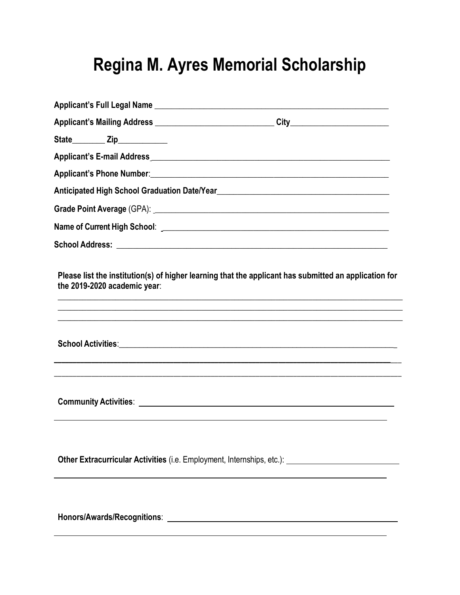## **Regina M. Ayres Memorial Scholarship**

| State_________ Zip____________ |                                                                                                                                                                                                                                |
|--------------------------------|--------------------------------------------------------------------------------------------------------------------------------------------------------------------------------------------------------------------------------|
|                                |                                                                                                                                                                                                                                |
|                                |                                                                                                                                                                                                                                |
|                                |                                                                                                                                                                                                                                |
|                                |                                                                                                                                                                                                                                |
|                                |                                                                                                                                                                                                                                |
|                                |                                                                                                                                                                                                                                |
| the 2019-2020 academic year:   | Please list the institution(s) of higher learning that the applicant has submitted an application for<br>,我们也不能在这里的时候,我们也不能在这里的时候,我们也不能不能不能不能不能不能不能不能不能不能不能不能不能不能不能。""我们的是,我们也不能不能不能不能不能不能                                     |
|                                | ,我们也不能在这里的时候,我们也不能在这里的时候,我们也不能在这里的时候,我们也不能会不能会不能会不能会不能会不能会不能会。""我们的人们也不能会不能会不能会不<br><u> 1990 - Jan James James James James James James James James James James James James James James James James J</u>                       |
|                                | <u> 1989 - Andrea Santa Alemania, amerikana amerikana amerikana amerikana amerikana amerikana amerikana amerikan</u>                                                                                                           |
|                                |                                                                                                                                                                                                                                |
|                                |                                                                                                                                                                                                                                |
|                                | ,我们也不能在这里,我们也不能会在这里,我们也不能会在这里,我们也不能会在这里,我们也不能会在这里的。""我们,我们也不能会不能会不能会。""我们,我们也不能会                                                                                                                                               |
|                                | Other Extracurricular Activities (i.e. Employment, Internships, etc.): [164] Matter Lawrence Matter Dennis (i.e. and Dennis Activities (i.e. Employment, Internships, etc.): [20] Matter Dennis Activities (i.e. and Dennis Ac |
|                                |                                                                                                                                                                                                                                |
|                                |                                                                                                                                                                                                                                |